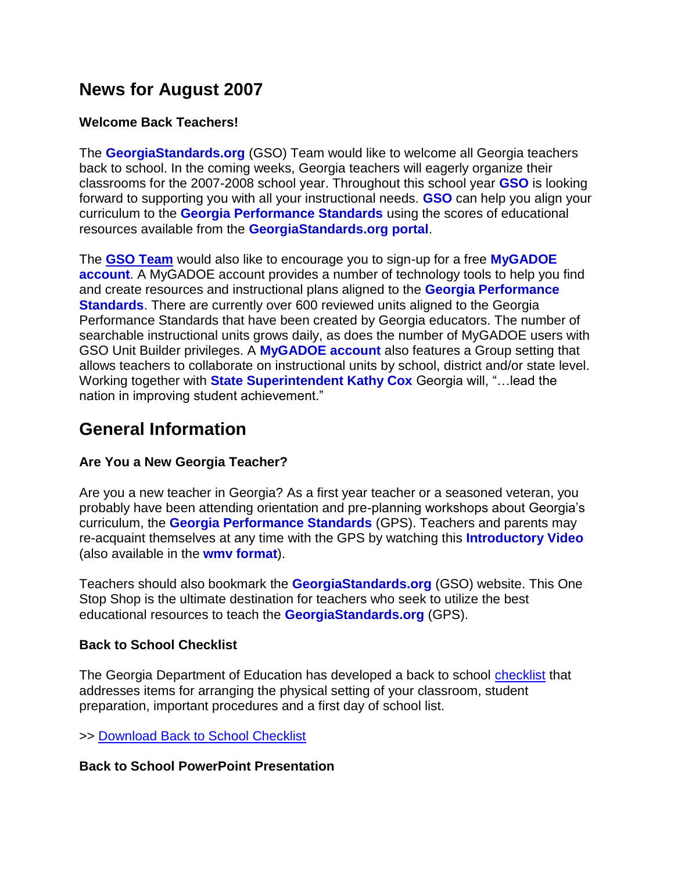## **News for August 2007**

### **Welcome Back Teachers!**

The **[GeorgiaStandards.org](http://www.georgiastandards.org/)** (GSO) Team would like to welcome all Georgia teachers back to school. In the coming weeks, Georgia teachers will eagerly organize their classrooms for the 2007-2008 school year. Throughout this school year **[GSO](http://www.georgiastandards.org/)** is looking forward to supporting you with all your instructional needs. **[GSO](http://www.georgiastandards.org/)** can help you align your curriculum to the **[Georgia Performance Standards](http://www.georgiastandards.org/search.aspx)** using the scores of educational resources available from the **[GeorgiaStandards.org portal](http://www.georgiastandards.org/search.aspx)**.

The **[GSO Team](http://www.georgiastandards.org/index.aspx?PageReq=GSOStaff)** would also like to encourage you to sign-up for a free **[MyGADOE](https://portal.doe.k12.ga.us/RequestNewUserWizard.aspx)  [account](https://portal.doe.k12.ga.us/RequestNewUserWizard.aspx)**. A MyGADOE account provides a number of technology tools to help you find and create resources and instructional plans aligned to the **[Georgia Performance](http://www.georgiastandards.org/search.aspx)  [Standards](http://www.georgiastandards.org/search.aspx)**. There are currently over 600 reviewed units aligned to the Georgia Performance Standards that have been created by Georgia educators. The number of searchable instructional units grows daily, as does the number of MyGADOE users with GSO Unit Builder privileges. A **[MyGADOE account](https://portal.doe.k12.ga.us/RequestNewUserWizard.aspx)** also features a Group setting that allows teachers to collaborate on instructional units by school, district and/or state level. Working together with **[State Superintendent Kathy Cox](http://www.gadoe.org/sup.aspx?PageReq=SUPValues)** Georgia will, "…lead the nation in improving student achievement."

## **General Information**

## **Are You a New Georgia Teacher?**

Are you a new teacher in Georgia? As a first year teacher or a seasoned veteran, you probably have been attending orientation and pre-planning workshops about Georgia's curriculum, the **[Georgia Performance Standards](http://www.georgiastandards.org/search.aspx)** (GPS). Teachers and parents may re-acquaint themselves at any time with the GPS by watching this **[Introductory Video](http://mediar1.gpb.org/ramgen/doe/DOEQCC_Overview.rm?usehostname)** (also available in the **[wmv format](http://mediam1.gpb.org/GA-DOE/qcc/QCC_Overview.wmv)**).

Teachers should also bookmark the **[GeorgiaStandards.org](http://www.georgiastandards.org/)** (GSO) website. This One Stop Shop is the ultimate destination for teachers who seek to utilize the best educational resources to teach the **[GeorgiaStandards.org](http://www.georgiastandards.org/)** (GPS).

#### **Back to School Checklist**

The Georgia Department of Education has developed a back to school [checklist](http://www.glc.k12.ga.us/passwd/trc/ttools/attach/bckgrnd/aug/btschl.pdf) that addresses items for arranging the physical setting of your classroom, student preparation, important procedures and a first day of school list.

>> [Download Back to School Checklist](http://www.glc.k12.ga.us/passwd/trc/ttools/attach/bckgrnd/aug/btschl.pdf)

#### **Back to School PowerPoint Presentation**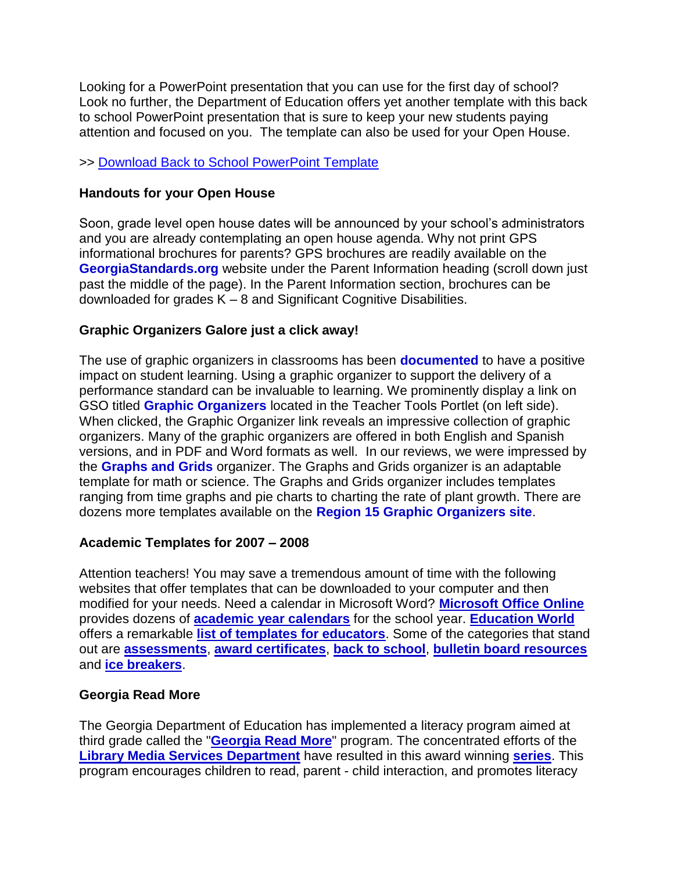Looking for a PowerPoint presentation that you can use for the first day of school? Look no further, the Department of Education offers yet another template with this back to school PowerPoint presentation that is sure to keep your new students paying attention and focused on you. The template can also be used for your Open House.

#### >> [Download Back to School PowerPoint Template](http://www.glc.k12.ga.us/passwd/trc/ttools/attach/bts/btssign.ppt)

#### **Handouts for your Open House**

Soon, grade level open house dates will be announced by your school's administrators and you are already contemplating an open house agenda. Why not print GPS informational brochures for parents? GPS brochures are readily available on the **[GeorgiaStandards.org](http://www.georgiastandards.org/)** website under the Parent Information heading (scroll down just past the middle of the page). In the Parent Information section, brochures can be downloaded for grades K – 8 and Significant Cognitive Disabilities.

## **Graphic Organizers Galore just a click away!**

The use of graphic organizers in classrooms has been **[documented](http://www.indiana.edu/~reading/ieo/bibs/graphsec.html)** to have a positive impact on student learning. Using a graphic organizer to support the delivery of a performance standard can be invaluable to learning. We prominently display a link on GSO titled **[Graphic Organizers](http://www.region15.org/curriculum/graphicorg.html)** located in the Teacher Tools Portlet (on left side). When clicked, the Graphic Organizer link reveals an impressive collection of graphic organizers. Many of the graphic organizers are offered in both English and Spanish versions, and in PDF and Word formats as well. In our reviews, we were impressed by the **[Graphs and Grids](http://www.region15.org/curriculum/gridgraph.doc)** organizer. The Graphs and Grids organizer is an adaptable template for math or science. The Graphs and Grids organizer includes templates ranging from time graphs and pie charts to charting the rate of plant growth. There are dozens more templates available on the **[Region 15 Graphic Organizers site](http://www.region15.org/curriculum/graphicorg.html)**.

## **Academic Templates for 2007 – 2008**

Attention teachers! You may save a tremendous amount of time with the following websites that offer templates that can be downloaded to your computer and then modified for your needs. Need a calendar in Microsoft Word? **[Microsoft Office Online](http://office.microsoft.com/en-us/templates/CT101424881033.aspx)** provides dozens of **[academic year calendars](http://office.microsoft.com/en-us/templates/CT101424881033.aspx)** for the school year. **[Education World](http://www.education-world.com/index.shtml)** offers a remarkable **[list of templates for educators](http://www.education-world.com/tools_templates/index.shtml#icebreakers)**. Some of the categories that stand out are **[assessments](http://www.education-world.com/tools_templates/index.shtml#assessments)**, **[award certificates](http://www.education-world.com/tools_templates/index.shtml#awardCertificates)**, **[back to school](http://www.education-world.com/tools_templates/index.shtml#backToSchool)**, **[bulletin board resources](http://www.education-world.com/tools_templates/index.shtml#bulletin)** and **[ice breakers](http://www.education-world.com/tools_templates/index.shtml#icebreakers)**.

#### **Georgia Read More**

The Georgia Department of Education has implemented a literacy program aimed at third grade called the "**[Georgia Read More](http://public.doe.k12.ga.us/pea_communications.aspx?ViewMode=1&obj=982)**" program. The concentrated efforts of the **[Library Media Services Department](http://www.glc.k12.ga.us/pandp/media/homepg.htm)** have resulted in this award winning **[series](http://public.doe.k12.ga.us/it.aspx?PageReq=ITReadMore)**. This program encourages children to read, parent - child interaction, and promotes literacy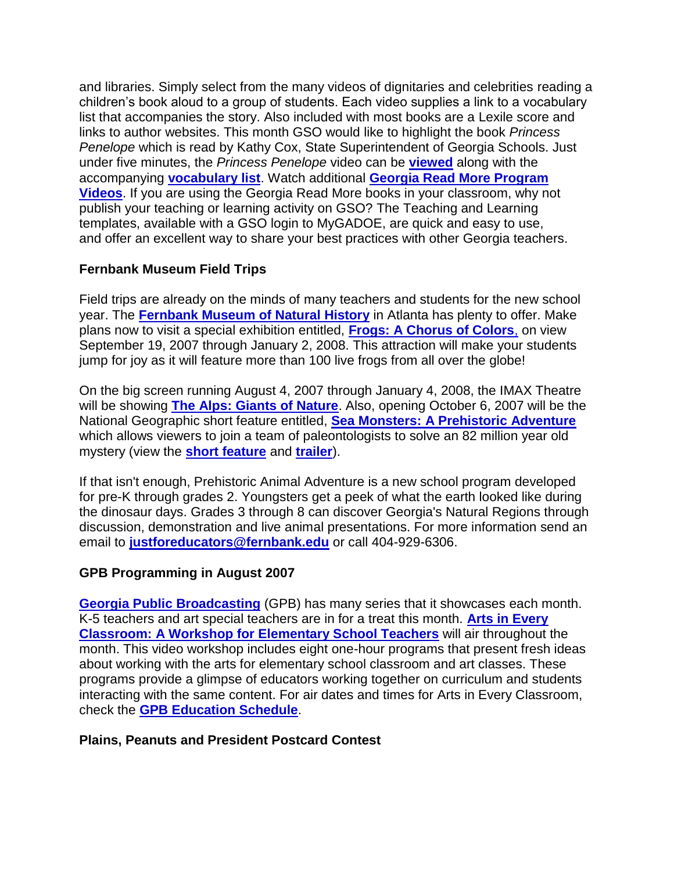and libraries. Simply select from the many videos of dignitaries and celebrities reading a children's book aloud to a group of students. Each video supplies a link to a vocabulary list that accompanies the story. Also included with most books are a Lexile score and links to author websites. This month GSO would like to highlight the book *Princess Penelope* which is read by Kathy Cox, State Superintendent of Georgia Schools. Just under five minutes, the *Princess Penelope* video can be **[viewed](http://public.doe.k12.ga.us/images/kcox1.jpg)** along with the accompanying **[vocabulary list](http://www.glc.k12.ga.us/passwd/trc/ttools/attach/mediapandp/vocab_list/Julius%20vocabulary%20list.pdf)**. Watch additional **[Georgia Read More Program](http://www.gadoe.org/it.aspx?PageReq=ITReadMore)  [Videos](http://www.gadoe.org/it.aspx?PageReq=ITReadMore)**. If you are using the Georgia Read More books in your classroom, why not publish your teaching or learning activity on GSO? The Teaching and Learning templates, available with a GSO login to MyGADOE, are quick and easy to use, and offer an excellent way to share your best practices with other Georgia teachers.

#### **Fernbank Museum Field Trips**

Field trips are already on the minds of many teachers and students for the new school year. The **[Fernbank Museum of Natural History](http://www.fernbankmuseum.org/)** in Atlanta has plenty to offer. Make plans now to visit a special exhibition entitled, **[Frogs: A Chorus of Colors](http://www.fernbank.edu/museum/specialexhibitions/frogs/index.html)**, on view September 19, 2007 through January 2, 2008. This attraction will make your students jump for joy as it will feature more than 100 live frogs from all over the globe!

On the big screen running August 4, 2007 through January 4, 2008, the IMAX Theatre will be showing **[The Alps: Giants of Nature](http://www.fernbank.edu/museum/imaxdetailcomingsoon.aspx?ID=3)**. Also, opening October 6, 2007 will be the National Geographic short feature entitled, **[Sea Monsters: A Prehistoric Adventure](http://www.fernbank.edu/museum/imaxdetailcomingsoon.aspx?ID=4)** which allows viewers to join a team of paleontologists to solve an 82 million year old mystery (view the **[short feature](http://www.nationalgeographic.com/giantscreenfilms/av/seamonster_featurette.asx)** and **[trailer](http://www.nationalgeographic.com/giantscreenfilms/av/seamonsters_trailer.asx)**).

If that isn't enough, Prehistoric Animal Adventure is a new school program developed for pre-K through grades 2. Youngsters get a peek of what the earth looked like during the dinosaur days. Grades 3 through 8 can discover Georgia's Natural Regions through discussion, demonstration and live animal presentations. For more information send an email to **[justforeducators@fernbank.edu](mailto:justforeducators@fernbank.edu)** or call 404-929-6306.

#### **GPB Programming in August 2007**

**[Georgia Public Broadcasting](http://www.gpb.org/public/)** (GPB) has many series that it showcases each month. K-5 teachers and art special teachers are in for a treat this month. **[Arts in Every](http://www.gpb.org/public/education/pipeline.jsp?issueid=177&artid=864)  [Classroom: A Workshop for Elementary School Teachers](http://www.gpb.org/public/education/pipeline.jsp?issueid=177&artid=864)** will air throughout the month. This video workshop includes eight one-hour programs that present fresh ideas about working with the arts for elementary school classroom and art classes. These programs provide a glimpse of educators working together on curriculum and students interacting with the same content. For air dates and times for Arts in Every Classroom, check the **[GPB Education Schedule](http://www.gpb.org/public/education/schedule.jsp?f=program&d=ARE)**.

#### **Plains, Peanuts and President Postcard Contest**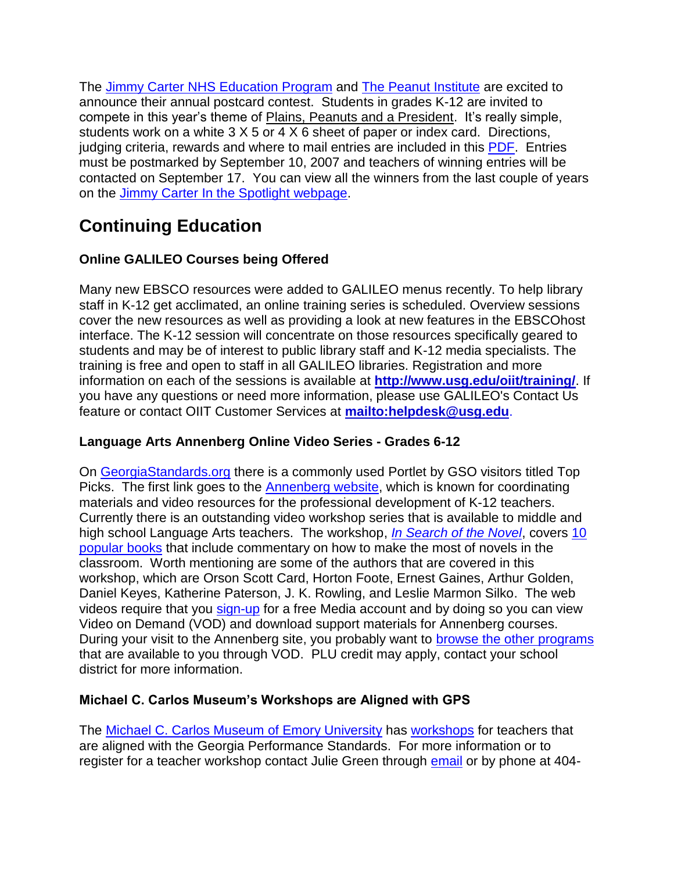The [Jimmy Carter NHS Education Program](http://jimmycarter.info/) and [The Peanut Institute](http://www.peanut-institute.org/) are excited to announce their annual postcard contest. Students in grades K-12 are invited to compete in this year's theme of Plains, Peanuts and a President. It's really simple, students work on a white 3 X 5 or 4 X 6 sheet of paper or index card. Directions, judging criteria, rewards and where to mail entries are included in this [PDF.](http://www.glc.k12.ga.us/news/GLC%20News_files/2007-Jimmy-Carter-post-card-contest.pdf) Entries must be postmarked by September 10, 2007 and teachers of winning entries will be contacted on September 17. You can view all the winners from the last couple of years on the Jimmy Carter [In the Spotlight webpage.](http://jimmycarter.info/spotlight_1.html)

# **Continuing Education**

## **Online GALILEO Courses being Offered**

Many new EBSCO resources were added to GALILEO menus recently. To help library staff in K-12 get acclimated, an online training series is scheduled. Overview sessions cover the new resources as well as providing a look at new features in the EBSCOhost interface. The K-12 session will concentrate on those resources specifically geared to students and may be of interest to public library staff and K-12 media specialists. The training is free and open to staff in all GALILEO libraries. Registration and more information on each of the sessions is available at **<http://www.usg.edu/oiit/training/>**. If you have any questions or need more information, please use GALILEO's Contact Us feature or contact OIIT Customer Services at **<mailto:helpdesk@usg.edu>**.

## **Language Arts Annenberg Online Video Series - Grades 6-12**

On [GeorgiaStandards.org](http://www.georgiastandards.org/) there is a commonly used Portlet by GSO visitors titled Top Picks. The first link goes to the [Annenberg website,](http://www.learner.org/index.html) which is known for coordinating materials and video resources for the professional development of K-12 teachers. Currently there is an outstanding video workshop series that is available to middle and high school Language Arts teachers. The workshop, *[In Search of the Novel](http://www.learner.org/resources/series111.html)*, covers [10](http://www.learner.org/catalog/extras/snnovelists.html)  [popular books](http://www.learner.org/catalog/extras/snnovelists.html) that include commentary on how to make the most of novels in the classroom. Worth mentioning are some of the authors that are covered in this workshop, which are Orson Scott Card, Horton Foote, Ernest Gaines, Arthur Golden, Daniel Keyes, Katherine Paterson, J. K. Rowling, and Leslie Marmon Silko. The web videos require that you [sign-up](http://www.learner.org/vod/login.html?pid=1297) for a free Media account and by doing so you can view Video on Demand (VOD) and download support materials for Annenberg courses. During your visit to the Annenberg site, you probably want to [browse the other programs](http://www.learner.org/resources/browse.html) that are available to you through VOD. PLU credit may apply, contact your school district for more information.

## **Michael C. Carlos Museum's Workshops are Aligned with GPS**

The [Michael C. Carlos Museum](http://carlos.emory.edu/) of Emory University has [workshops](http://carlos.emory.edu/INFORMATION/teacher-workshops.html) for teachers that are aligned with the Georgia Performance Standards. For more information or to register for a teacher workshop contact Julie Green through [email](mailto:jgree09@emory.edu) or by phone at 404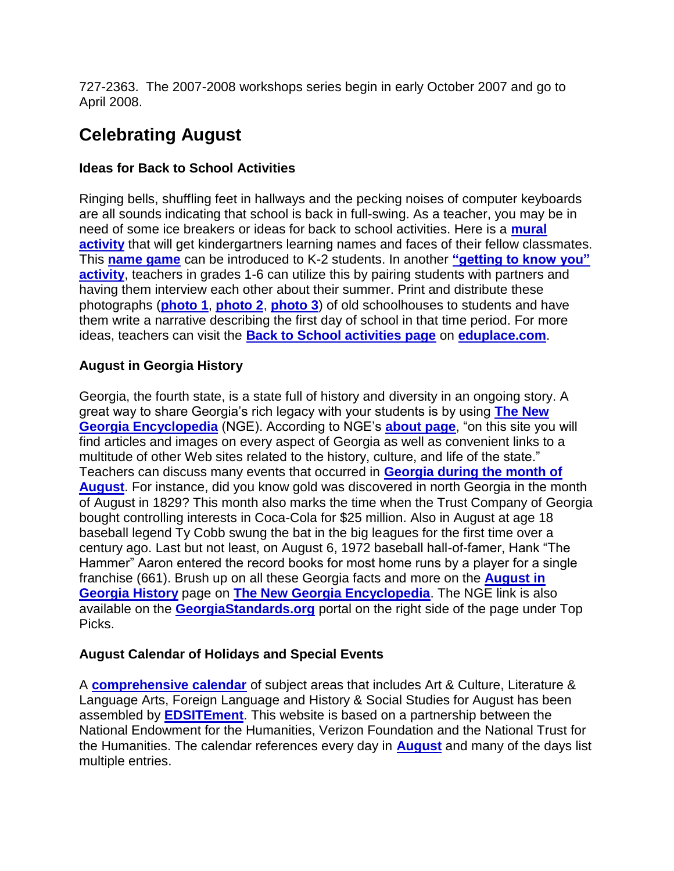727-2363. The 2007-2008 workshops series begin in early October 2007 and go to April 2008.

# **Celebrating August**

## **Ideas for Back to School Activities**

Ringing bells, shuffling feet in hallways and the pecking noises of computer keyboards are all sounds indicating that school is back in full-swing. As a teacher, you may be in need of some ice breakers or ideas for back to school activities. Here is a **[mural](http://www.eduplace.com/activity/k_1_act1.html)  [activity](http://www.eduplace.com/activity/k_1_act1.html)** that will get kindergartners learning names and faces of their fellow classmates. This **[name game](http://www.teachers.net/lessons/posts/600.html)** can be introduced to K-2 students. In another **["getting to know you"](http://www.col-ed.org/cur/misc/misc22.txt)  [activity](http://www.col-ed.org/cur/misc/misc22.txt)**, teachers in grades 1-6 can utilize this by pairing students with partners and having them interview each other about their summer. Print and distribute these photographs (**[photo 1](http://www.archives.gov/research/american-west/images/181.jpg)**, **[photo 2](http://www.town.groton.ct.us/history/digitized/standard/barbarajonesalling.jpg)**, **[photo 3](http://www.pbs.org/kcet/publicschool/photo_gallery/photo4.html)**) of old schoolhouses to students and have them write a narrative describing the first day of school in that time period. For more ideas, teachers can visit the **[Back to School activities page](http://www.eduplace.com/monthlytheme/august/school_activities.html)** on **[eduplace.com](http://www.eduplace.com/)**.

## **August in Georgia History**

Georgia, the fourth state, is a state full of history and diversity in an ongoing story. A great way to share Georgia's rich legacy with your students is by using **[The New](http://www.georgiaencyclopedia.org/)  [Georgia Encyclopedia](http://www.georgiaencyclopedia.org/)** (NGE). According to NGE's **[about page](http://www.georgiaencyclopedia.org/nge/about/Index.jsp)**, "on this site you will find articles and images on every aspect of Georgia as well as convenient links to a multitude of other Web sites related to the history, culture, and life of the state." Teachers can discuss many events that occurred in **[Georgia during the month of](http://www.georgiaencyclopedia.org/nge/Feature.jsp?id=s-60)  [August](http://www.georgiaencyclopedia.org/nge/Feature.jsp?id=s-60)**. For instance, did you know gold was discovered in north Georgia in the month of August in 1829? This month also marks the time when the Trust Company of Georgia bought controlling interests in Coca-Cola for \$25 million. Also in August at age 18 baseball legend Ty Cobb swung the bat in the big leagues for the first time over a century ago. Last but not least, on August 6, 1972 baseball hall-of-famer, Hank "The Hammer" Aaron entered the record books for most home runs by a player for a single franchise (661). Brush up on all these Georgia facts and more on the **[August in](http://www.georgiaencyclopedia.org/nge/Feature.jsp?id=s-60)  [Georgia History](http://www.georgiaencyclopedia.org/nge/Feature.jsp?id=s-60)** page on **[The New Georgia Encyclopedia](http://www.georgiaencyclopedia.org/)**. The NGE link is also available on the **[GeorgiaStandards.org](http://www.georgiastandards.org/)** portal on the right side of the page under Top Picks.

## **August Calendar of Holidays and Special Events**

A **[comprehensive calendar](http://edsitement.neh.gov/calendar.asp?date=8/1/2007)** of subject areas that includes Art & Culture, Literature & Language Arts, Foreign Language and History & Social Studies for August has been assembled by **[EDSITEment](http://edsitement.neh.gov/)**. This website is based on a partnership between the National Endowment for the Humanities, Verizon Foundation and the National Trust for the Humanities. The calendar references every day in **[August](http://edsitement.neh.gov/calendar.asp?date=8/1/2007)** and many of the days list multiple entries.